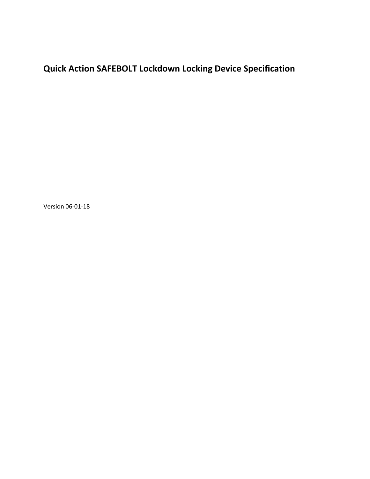## **Quick Action SAFEBOLT Lockdown Locking Device Specification**

Version 06-01-18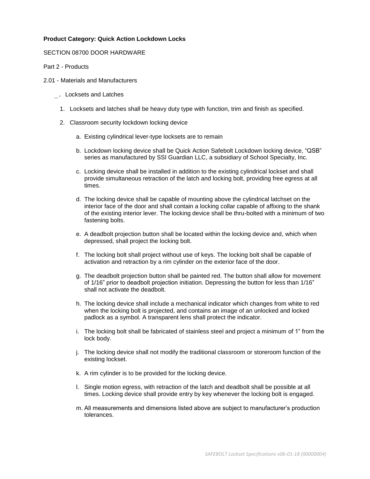## **Product Category: Quick Action Lockdown Locks**

## SECTION 08700 DOOR HARDWARE

Part 2 - Products

- 2.01 Materials and Manufacturers
	- \_. Locksets and Latches
		- 1. Locksets and latches shall be heavy duty type with function, trim and finish as specified.
		- 2. Classroom security lockdown locking device
			- a. Existing cylindrical lever-type locksets are to remain
			- b. Lockdown locking device shall be Quick Action Safebolt Lockdown locking device, "QSB" series as manufactured by SSI Guardian LLC, a subsidiary of School Specialty, Inc.
			- c. Locking device shall be installed in addition to the existing cylindrical lockset and shall provide simultaneous retraction of the latch and locking bolt, providing free egress at all times.
			- d. The locking device shall be capable of mounting above the cylindrical latchset on the interior face of the door and shall contain a locking collar capable of affixing to the shank of the existing interior lever. The locking device shall be thru-bolted with a minimum of two fastening bolts.
			- e. A deadbolt projection button shall be located within the locking device and, which when depressed, shall project the locking bolt.
			- f. The locking bolt shall project without use of keys. The locking bolt shall be capable of activation and retraction by a rim cylinder on the exterior face of the door.
			- g. The deadbolt projection button shall be painted red. The button shall allow for movement of 1/16" prior to deadbolt projection initiation. Depressing the button for less than 1/16" shall not activate the deadbolt.
			- h. The locking device shall include a mechanical indicator which changes from white to red when the locking bolt is projected, and contains an image of an unlocked and locked padlock as a symbol. A transparent lens shall protect the indicator.
			- i. The locking bolt shall be fabricated of stainless steel and project a minimum of 1" from the lock body.
			- j. The locking device shall not modify the traditional classroom or storeroom function of the existing lockset.
			- k. A rim cylinder is to be provided for the locking device.
			- l. Single motion egress, with retraction of the latch and deadbolt shall be possible at all times. Locking device shall provide entry by key whenever the locking bolt is engaged.
			- m. All measurements and dimensions listed above are subject to manufacturer's production tolerances.